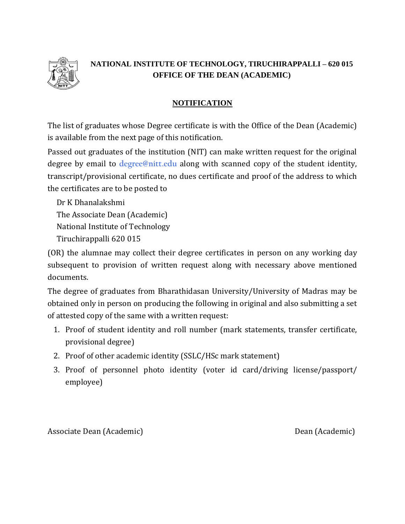

## **NATIONAL INSTITUTE OF TECHNOLOGY, TIRUCHIRAPPALLI – 620 015 OFFICE OF THE DEAN (ACADEMIC)**

## **NOTIFICATION**

The list of graduates whose Degree certificate is with the Office of the Dean (Academic) is available from the next page of this notification.

Passed out graduates of the institution (NIT) can make written request for the original degree by email to **[degree@nitt.edu](mailto:degree@nitt.edu)** along with scanned copy of the student identity, transcript/provisional certificate, no dues certificate and proof of the address to which the certificates are to be posted to

Dr K Dhanalakshmi The Associate Dean (Academic) National Institute of Technology Tiruchirappalli 620 015

(OR) the alumnae may collect their degree certificates in person on any working day subsequent to provision of written request along with necessary above mentioned documents.

The degree of graduates from Bharathidasan University/University of Madras may be obtained only in person on producing the following in original and also submitting a set of attested copy of the same with a written request:

- 1. Proof of student identity and roll number (mark statements, transfer certificate, provisional degree)
- 2. Proof of other academic identity (SSLC/HSc mark statement)
- 3. Proof of personnel photo identity (voter id card/driving license/passport/ employee)

Associate Dean (Academic) and Dean (Academic) Dean (Academic)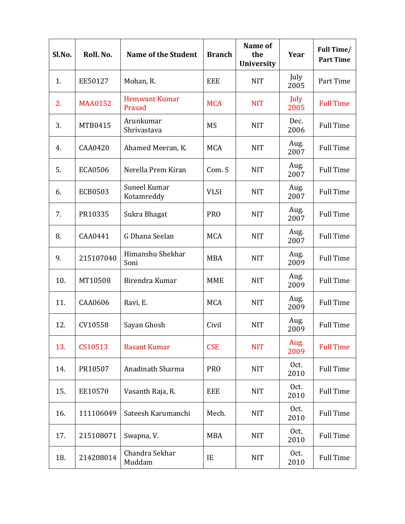| Sl.No. | Roll. No.      | <b>Name of the Student</b>     | <b>Branch</b> | Name of<br>the<br><b>University</b> | Year         | Full Time/<br><b>Part Time</b> |
|--------|----------------|--------------------------------|---------------|-------------------------------------|--------------|--------------------------------|
| 1.     | EE50127        | Mohan, R.                      | <b>EEE</b>    | <b>NIT</b>                          | July<br>2005 | Part Time                      |
| 2.     | <b>MAA0152</b> | <b>Hemwant Kumar</b><br>Prasad | <b>MCA</b>    | <b>NIT</b>                          | July<br>2005 | <b>Full Time</b>               |
| 3.     | MTB0415        | Arunkumar<br>Shrivastava       | <b>MS</b>     | <b>NIT</b>                          | Dec.<br>2006 | <b>Full Time</b>               |
| 4.     | CAA0420        | Ahamed Meeran, K.              | <b>MCA</b>    | <b>NIT</b>                          | Aug.<br>2007 | <b>Full Time</b>               |
| 5.     | <b>ECA0506</b> | Nerella Prem Kiran             | Com. S        | <b>NIT</b>                          | Aug.<br>2007 | <b>Full Time</b>               |
| 6.     | <b>ECB0503</b> | Suneel Kumar<br>Kotamreddy     | <b>VLSI</b>   | <b>NIT</b>                          | Aug.<br>2007 | <b>Full Time</b>               |
| 7.     | PR10335        | Sukra Bhagat                   | <b>PRO</b>    | <b>NIT</b>                          | Aug.<br>2007 | <b>Full Time</b>               |
| 8.     | CAA0441        | G Dhana Seelan                 | <b>MCA</b>    | <b>NIT</b>                          | Aug.<br>2007 | <b>Full Time</b>               |
| 9.     | 215107040      | Himanshu Shekhar<br>Soni       | <b>MBA</b>    | <b>NIT</b>                          | Aug.<br>2009 | <b>Full Time</b>               |
| 10.    | MT10508        | Birendra Kumar                 | <b>MME</b>    | <b>NIT</b>                          | Aug.<br>2009 | <b>Full Time</b>               |
| 11.    | CAA0606        | Ravi, E.                       | <b>MCA</b>    | <b>NIT</b>                          | Aug.<br>2009 | <b>Full Time</b>               |
| 12.    | CV10558        | Sayan Ghosh                    | Civil         | <b>NIT</b>                          | Aug.<br>2009 | <b>Full Time</b>               |
| 13.    | CS10513        | <b>Basant Kumar</b>            | <b>CSE</b>    | <b>NIT</b>                          | Aug.<br>2009 | <b>Full Time</b>               |
| 14.    | PR10507        | Anadinath Sharma               | <b>PRO</b>    | <b>NIT</b>                          | Oct.<br>2010 | <b>Full Time</b>               |
| 15.    | EE10570        | Vasanth Raja, R.               | EEE           | <b>NIT</b>                          | Oct.<br>2010 | <b>Full Time</b>               |
| 16.    | 111106049      | Sateesh Karumanchi             | Mech.         | <b>NIT</b>                          | Oct.<br>2010 | <b>Full Time</b>               |
| 17.    | 215108071      | Swapna, V.                     | <b>MBA</b>    | <b>NIT</b>                          | Oct.<br>2010 | <b>Full Time</b>               |
| 18.    | 214208014      | Chandra Sekhar<br>Muddam       | IE            | <b>NIT</b>                          | Oct.<br>2010 | <b>Full Time</b>               |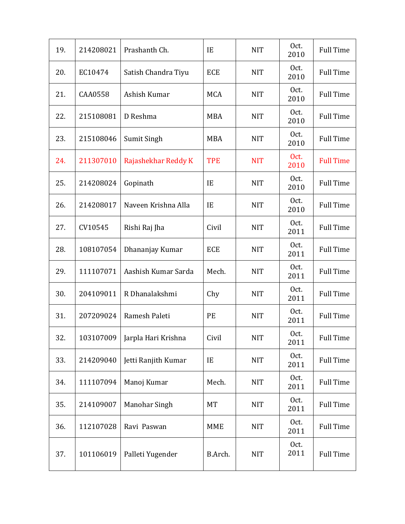| 19. | 214208021      | Prashanth Ch.       | IE         | <b>NIT</b> | Oct.<br>2010 | <b>Full Time</b> |
|-----|----------------|---------------------|------------|------------|--------------|------------------|
| 20. | EC10474        | Satish Chandra Tiyu | <b>ECE</b> | <b>NIT</b> | Oct.<br>2010 | <b>Full Time</b> |
| 21. | <b>CAA0558</b> | Ashish Kumar        | <b>MCA</b> | <b>NIT</b> | Oct.<br>2010 | <b>Full Time</b> |
| 22. | 215108081      | D Reshma            | <b>MBA</b> | <b>NIT</b> | Oct.<br>2010 | <b>Full Time</b> |
| 23. | 215108046      | Sumit Singh         | <b>MBA</b> | <b>NIT</b> | Oct.<br>2010 | <b>Full Time</b> |
| 24. | 211307010      | Rajashekhar Reddy K | <b>TPE</b> | <b>NIT</b> | Oct.<br>2010 | <b>Full Time</b> |
| 25. | 214208024      | Gopinath            | IE         | <b>NIT</b> | Oct.<br>2010 | <b>Full Time</b> |
| 26. | 214208017      | Naveen Krishna Alla | IE         | <b>NIT</b> | Oct.<br>2010 | <b>Full Time</b> |
| 27. | CV10545        | Rishi Raj Jha       | Civil      | <b>NIT</b> | Oct.<br>2011 | <b>Full Time</b> |
| 28. | 108107054      | Dhananjay Kumar     | ECE        | <b>NIT</b> | Oct.<br>2011 | <b>Full Time</b> |
| 29. | 111107071      | Aashish Kumar Sarda | Mech.      | <b>NIT</b> | Oct.<br>2011 | <b>Full Time</b> |
| 30. | 204109011      | R Dhanalakshmi      | Chy        | <b>NIT</b> | Oct.<br>2011 | <b>Full Time</b> |
| 31. | 207209024      | Ramesh Paleti       | PE         | <b>NIT</b> | Oct.<br>2011 | <b>Full Time</b> |
| 32. | 103107009      | Jarpla Hari Krishna | Civil      | <b>NIT</b> | Oct.<br>2011 | <b>Full Time</b> |
| 33. | 214209040      | Jetti Ranjith Kumar | IE         | <b>NIT</b> | Oct.<br>2011 | <b>Full Time</b> |
| 34. | 111107094      | Manoj Kumar         | Mech.      | <b>NIT</b> | Oct.<br>2011 | <b>Full Time</b> |
| 35. | 214109007      | Manohar Singh       | MT         | <b>NIT</b> | Oct.<br>2011 | <b>Full Time</b> |
| 36. | 112107028      | Ravi Paswan         | <b>MME</b> | <b>NIT</b> | Oct.<br>2011 | <b>Full Time</b> |
| 37. | 101106019      | Palleti Yugender    | B.Arch.    | <b>NIT</b> | Oct.<br>2011 | <b>Full Time</b> |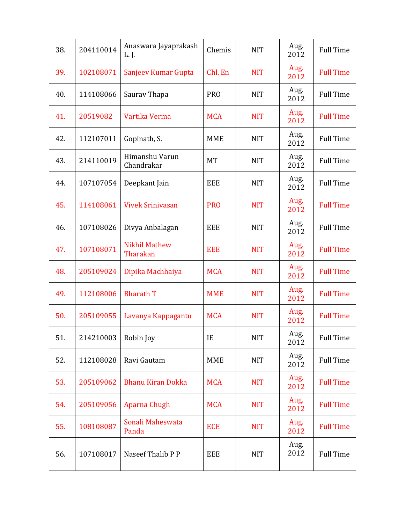| 38. | 204110014 | Anaswara Jayaprakash<br>L. J.    | Chemis     | <b>NIT</b> | Aug.<br>2012 | <b>Full Time</b> |
|-----|-----------|----------------------------------|------------|------------|--------------|------------------|
| 39. | 102108071 | Sanjeev Kumar Gupta              | Chl. En    | <b>NIT</b> | Aug.<br>2012 | <b>Full Time</b> |
| 40. | 114108066 | Saurav Thapa                     | <b>PRO</b> | <b>NIT</b> | Aug.<br>2012 | <b>Full Time</b> |
| 41. | 20519082  | Vartika Verma                    | <b>MCA</b> | <b>NIT</b> | Aug.<br>2012 | <b>Full Time</b> |
| 42. | 112107011 | Gopinath, S.                     | <b>MME</b> | <b>NIT</b> | Aug.<br>2012 | <b>Full Time</b> |
| 43. | 214110019 | Himanshu Varun<br>Chandrakar     | <b>MT</b>  | <b>NIT</b> | Aug.<br>2012 | <b>Full Time</b> |
| 44. | 107107054 | Deepkant Jain                    | <b>EEE</b> | <b>NIT</b> | Aug.<br>2012 | <b>Full Time</b> |
| 45. | 114108061 | <b>Vivek Srinivasan</b>          | <b>PRO</b> | <b>NIT</b> | Aug.<br>2012 | <b>Full Time</b> |
| 46. | 107108026 | Divya Anbalagan                  | <b>EEE</b> | <b>NIT</b> | Aug.<br>2012 | <b>Full Time</b> |
| 47. | 107108071 | <b>Nikhil Mathew</b><br>Tharakan | <b>EEE</b> | <b>NIT</b> | Aug.<br>2012 | <b>Full Time</b> |
| 48. | 205109024 | Dipika Machhaiya                 | <b>MCA</b> | <b>NIT</b> | Aug.<br>2012 | <b>Full Time</b> |
| 49. | 112108006 | <b>Bharath T</b>                 | <b>MME</b> | <b>NIT</b> | Aug.<br>2012 | <b>Full Time</b> |
| 50. | 205109055 | Lavanya Kappagantu               | <b>MCA</b> | <b>NIT</b> | Aug.<br>2012 | <b>Full Time</b> |
| 51. | 214210003 | Robin Joy                        | IE         | <b>NIT</b> | Aug.<br>2012 | <b>Full Time</b> |
| 52. | 112108028 | Ravi Gautam                      | <b>MME</b> | <b>NIT</b> | Aug.<br>2012 | <b>Full Time</b> |
| 53. | 205109062 | <b>Bhanu Kiran Dokka</b>         | <b>MCA</b> | <b>NIT</b> | Aug.<br>2012 | <b>Full Time</b> |
| 54. | 205109056 | Aparna Chugh                     | <b>MCA</b> | <b>NIT</b> | Aug.<br>2012 | <b>Full Time</b> |
| 55. | 108108087 | Sonali Maheswata<br>Panda        | <b>ECE</b> | <b>NIT</b> | Aug.<br>2012 | <b>Full Time</b> |
| 56. | 107108017 | Naseef Thalib P P                | <b>EEE</b> | <b>NIT</b> | Aug.<br>2012 | <b>Full Time</b> |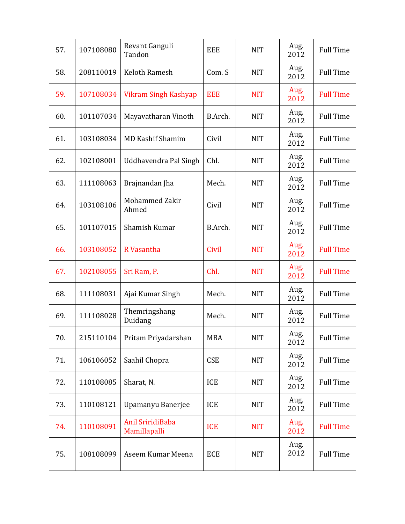| 57. | 107108080 | Revant Ganguli<br>Tandon         | <b>EEE</b> | <b>NIT</b> | Aug.<br>2012 | <b>Full Time</b> |
|-----|-----------|----------------------------------|------------|------------|--------------|------------------|
| 58. | 208110019 | <b>Keloth Ramesh</b>             | Com. S     | <b>NIT</b> | Aug.<br>2012 | <b>Full Time</b> |
| 59. | 107108034 | Vikram Singh Kashyap             | <b>EEE</b> | <b>NIT</b> | Aug.<br>2012 | <b>Full Time</b> |
| 60. | 101107034 | Mayavatharan Vinoth              | B.Arch.    | <b>NIT</b> | Aug.<br>2012 | <b>Full Time</b> |
| 61. | 103108034 | <b>MD Kashif Shamim</b>          | Civil      | <b>NIT</b> | Aug.<br>2012 | <b>Full Time</b> |
| 62. | 102108001 | Uddhavendra Pal Singh            | Chl.       | <b>NIT</b> | Aug.<br>2012 | <b>Full Time</b> |
| 63. | 111108063 | Brajnandan Jha                   | Mech.      | <b>NIT</b> | Aug.<br>2012 | <b>Full Time</b> |
| 64. | 103108106 | Mohammed Zakir<br>Ahmed          | Civil      | <b>NIT</b> | Aug.<br>2012 | <b>Full Time</b> |
| 65. | 101107015 | Shamish Kumar                    | B.Arch.    | <b>NIT</b> | Aug.<br>2012 | <b>Full Time</b> |
| 66. | 103108052 | R Vasantha                       | Civil      | <b>NIT</b> | Aug.<br>2012 | <b>Full Time</b> |
| 67. | 102108055 | Sri Ram, P.                      | Chl.       | <b>NIT</b> | Aug.<br>2012 | <b>Full Time</b> |
| 68. | 111108031 | Ajai Kumar Singh                 | Mech.      | <b>NIT</b> | Aug.<br>2012 | <b>Full Time</b> |
| 69. | 111108028 | Themringshang<br>Duidang         | Mech.      | <b>NIT</b> | Aug.<br>2012 | <b>Full Time</b> |
| 70. | 215110104 | Pritam Priyadarshan              | <b>MBA</b> | <b>NIT</b> | Aug.<br>2012 | <b>Full Time</b> |
| 71. | 106106052 | Saahil Chopra                    | <b>CSE</b> | <b>NIT</b> | Aug.<br>2012 | <b>Full Time</b> |
| 72. | 110108085 | Sharat, N.                       | ICE        | <b>NIT</b> | Aug.<br>2012 | <b>Full Time</b> |
| 73. | 110108121 | Upamanyu Banerjee                | ICE        | <b>NIT</b> | Aug.<br>2012 | <b>Full Time</b> |
| 74. | 110108091 | Anil SriridiBaba<br>Mamillapalli | <b>ICE</b> | <b>NIT</b> | Aug.<br>2012 | <b>Full Time</b> |
| 75. | 108108099 | Aseem Kumar Meena                | <b>ECE</b> | <b>NIT</b> | Aug.<br>2012 | <b>Full Time</b> |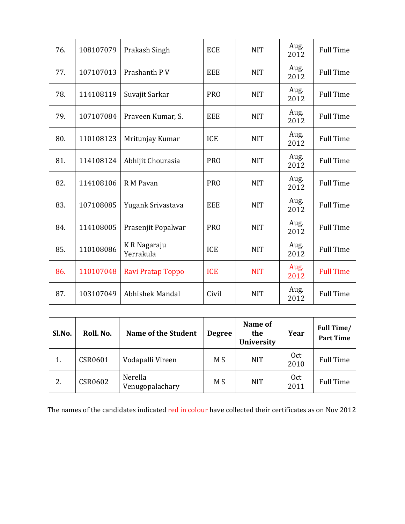| 76. | 108107079 | Prakash Singh             | <b>ECE</b> | <b>NIT</b> | Aug.<br>2012 | <b>Full Time</b> |
|-----|-----------|---------------------------|------------|------------|--------------|------------------|
| 77. | 107107013 | Prashanth P V             | <b>EEE</b> | <b>NIT</b> | Aug.<br>2012 | <b>Full Time</b> |
| 78. | 114108119 | Suvajit Sarkar            | <b>PRO</b> | <b>NIT</b> | Aug.<br>2012 | <b>Full Time</b> |
| 79. | 107107084 | Praveen Kumar, S.         | <b>EEE</b> | <b>NIT</b> | Aug.<br>2012 | <b>Full Time</b> |
| 80. | 110108123 | Mritunjay Kumar           | <b>ICE</b> | <b>NIT</b> | Aug.<br>2012 | <b>Full Time</b> |
| 81. | 114108124 | Abhijit Chourasia         | <b>PRO</b> | <b>NIT</b> | Aug.<br>2012 | <b>Full Time</b> |
| 82. | 114108106 | R M Pavan                 | <b>PRO</b> | <b>NIT</b> | Aug.<br>2012 | <b>Full Time</b> |
| 83. | 107108085 | Yugank Srivastava         | <b>EEE</b> | <b>NIT</b> | Aug.<br>2012 | <b>Full Time</b> |
| 84. | 114108005 | Prasenjit Popalwar        | <b>PRO</b> | <b>NIT</b> | Aug.<br>2012 | <b>Full Time</b> |
| 85. | 110108086 | K R Nagaraju<br>Yerrakula | <b>ICE</b> | <b>NIT</b> | Aug.<br>2012 | <b>Full Time</b> |
| 86. | 110107048 | Ravi Pratap Toppo         | <b>ICE</b> | <b>NIT</b> | Aug.<br>2012 | <b>Full Time</b> |
| 87. | 103107049 | Abhishek Mandal           | Civil      | <b>NIT</b> | Aug.<br>2012 | <b>Full Time</b> |

| Sl.No. | Roll. No. | <b>Name of the Student</b> | <b>Degree</b> | Name of<br>the<br>University | Year                    | <b>Full Time/</b><br><b>Part Time</b> |
|--------|-----------|----------------------------|---------------|------------------------------|-------------------------|---------------------------------------|
| 1.     | CSR0601   | Vodapalli Vireen           | M S           | <b>NIT</b>                   | 0 <sub>ct</sub><br>2010 | <b>Full Time</b>                      |
| 2.     | CSR0602   | Nerella<br>Venugopalachary | M S           | <b>NIT</b>                   | 0 <sub>ct</sub><br>2011 | <b>Full Time</b>                      |

The names of the candidates indicated red in colour have collected their certificates as on Nov 2012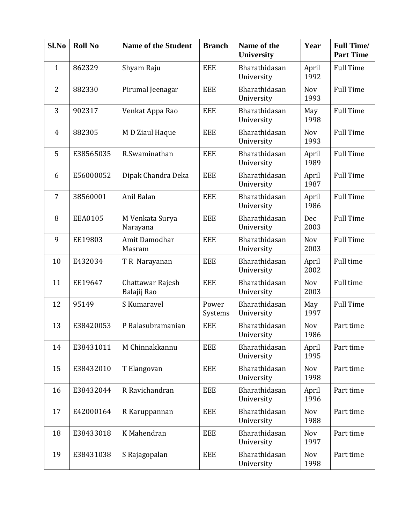| Sl.No          | <b>Roll No</b> | <b>Name of the Student</b>      | <b>Branch</b>    | Name of the<br><b>University</b> | Year               | <b>Full Time/</b><br><b>Part Time</b> |
|----------------|----------------|---------------------------------|------------------|----------------------------------|--------------------|---------------------------------------|
| $\mathbf{1}$   | 862329         | Shyam Raju                      | EEE              | Bharathidasan<br>University      | April<br>1992      | <b>Full Time</b>                      |
| $\overline{2}$ | 882330         | Pirumal Jeenagar                | <b>EEE</b>       | Bharathidasan<br>University      | <b>Nov</b><br>1993 | <b>Full Time</b>                      |
| 3              | 902317         | Venkat Appa Rao                 | <b>EEE</b>       | Bharathidasan<br>University      | May<br>1998        | <b>Full Time</b>                      |
| $\overline{4}$ | 882305         | M D Ziaul Haque                 | <b>EEE</b>       | Bharathidasan<br>University      | <b>Nov</b><br>1993 | <b>Full Time</b>                      |
| 5              | E38565035      | R.Swaminathan                   | <b>EEE</b>       | Bharathidasan<br>University      | April<br>1989      | <b>Full Time</b>                      |
| 6              | E56000052      | Dipak Chandra Deka              | <b>EEE</b>       | Bharathidasan<br>University      | April<br>1987      | <b>Full Time</b>                      |
| 7              | 38560001       | Anil Balan                      | <b>EEE</b>       | Bharathidasan<br>University      | April<br>1986      | <b>Full Time</b>                      |
| 8              | <b>EEA0105</b> | M Venkata Surya<br>Narayana     | <b>EEE</b>       | Bharathidasan<br>University      | Dec<br>2003        | <b>Full Time</b>                      |
| 9              | EE19803        | Amit Damodhar<br>Masram         | <b>EEE</b>       | Bharathidasan<br>University      | <b>Nov</b><br>2003 | <b>Full Time</b>                      |
| 10             | E432034        | T R Narayanan                   | <b>EEE</b>       | Bharathidasan<br>University      | April<br>2002      | <b>Full time</b>                      |
| 11             | EE19647        | Chattawar Rajesh<br>Balajij Rao | <b>EEE</b>       | Bharathidasan<br>University      | <b>Nov</b><br>2003 | <b>Full time</b>                      |
| 12             | 95149          | S Kumaravel                     | Power<br>Systems | Bharathidasan<br>University      | May<br>1997        | <b>Full Time</b>                      |
| 13             | E38420053      | P Balasubramanian               | <b>EEE</b>       | Bharathidasan<br>University      | <b>Nov</b><br>1986 | Part time                             |
| 14             | E38431011      | M Chinnakkannu                  | <b>EEE</b>       | Bharathidasan<br>University      | April<br>1995      | Part time                             |
| 15             | E38432010      | T Elangovan                     | EEE              | Bharathidasan<br>University      | <b>Nov</b><br>1998 | Part time                             |
| 16             | E38432044      | R Ravichandran                  | <b>EEE</b>       | Bharathidasan<br>University      | April<br>1996      | Part time                             |
| 17             | E42000164      | R Karuppannan                   | <b>EEE</b>       | Bharathidasan<br>University      | <b>Nov</b><br>1988 | Part time                             |
| 18             | E38433018      | K Mahendran                     | <b>EEE</b>       | Bharathidasan<br>University      | <b>Nov</b><br>1997 | Part time                             |
| 19             | E38431038      | S Rajagopalan                   | <b>EEE</b>       | Bharathidasan<br>University      | <b>Nov</b><br>1998 | Part time                             |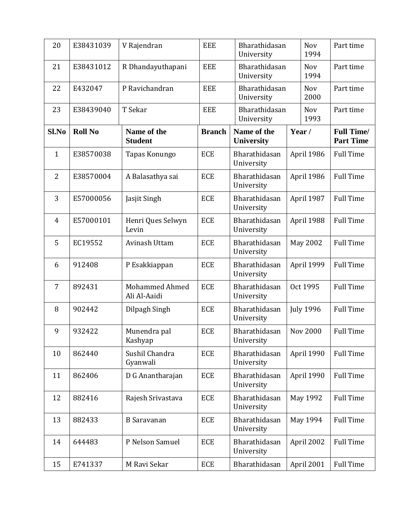| 20             | E38431039      | V Rajendran                    | <b>EEE</b>    | Bharathidasan<br>University |                 | <b>Nov</b><br>1994 | Part time                             |
|----------------|----------------|--------------------------------|---------------|-----------------------------|-----------------|--------------------|---------------------------------------|
| 21             | E38431012      | R Dhandayuthapani              | <b>EEE</b>    | Bharathidasan<br>University |                 | <b>Nov</b><br>1994 | Part time                             |
| 22             | E432047        | P Ravichandran                 | <b>EEE</b>    | Bharathidasan<br>University |                 | <b>Nov</b><br>2000 | Part time                             |
| 23             | E38439040      | T Sekar                        | <b>EEE</b>    | Bharathidasan<br>University |                 | <b>Nov</b><br>1993 | Part time                             |
| Sl.No          | <b>Roll No</b> | Name of the<br><b>Student</b>  | <b>Branch</b> | Name of the<br>University   | Year /          |                    | <b>Full Time/</b><br><b>Part Time</b> |
| $\mathbf{1}$   | E38570038      | Tapas Konungo                  | <b>ECE</b>    | Bharathidasan<br>University |                 | April 1986         | <b>Full Time</b>                      |
| $\overline{2}$ | E38570004      | A Balasathya sai               | <b>ECE</b>    | Bharathidasan<br>University |                 | April 1986         | <b>Full Time</b>                      |
| 3              | E57000056      | Jasjit Singh                   | <b>ECE</b>    | Bharathidasan<br>University |                 | April 1987         | <b>Full Time</b>                      |
| $\overline{4}$ | E57000101      | Henri Ques Selwyn<br>Levin     | <b>ECE</b>    | Bharathidasan<br>University | April 1988      |                    | <b>Full Time</b>                      |
| 5              | EC19552        | Avinash Uttam                  | <b>ECE</b>    | Bharathidasan<br>University | <b>May 2002</b> |                    | <b>Full Time</b>                      |
| 6              | 912408         | P Esakkiappan                  | <b>ECE</b>    | Bharathidasan<br>University | April 1999      |                    | <b>Full Time</b>                      |
| $\overline{7}$ | 892431         | Mohammed Ahmed<br>Ali Al-Aaidi | <b>ECE</b>    | Bharathidasan<br>University |                 | Oct 1995           | <b>Full Time</b>                      |
| 8              | 902442         | Dilpagh Singh                  | <b>ECE</b>    | Bharathidasan<br>University |                 | <b>July 1996</b>   | <b>Full Time</b>                      |
| 9              | 932422         | Munendra pal<br>Kashyap        | <b>ECE</b>    | Bharathidasan<br>University |                 | <b>Nov 2000</b>    | <b>Full Time</b>                      |
| 10             | 862440         | Sushil Chandra<br>Gyanwali     | <b>ECE</b>    | Bharathidasan<br>University |                 | April 1990         | <b>Full Time</b>                      |
| 11             | 862406         | D G Anantharajan               | ECE           | Bharathidasan<br>University |                 | April 1990         | <b>Full Time</b>                      |
| 12             | 882416         | Rajesh Srivastava              | <b>ECE</b>    | Bharathidasan<br>University |                 | May 1992           | <b>Full Time</b>                      |
| 13             | 882433         | <b>B</b> Saravanan             | ECE           | Bharathidasan<br>University |                 | May 1994           | <b>Full Time</b>                      |
| 14             | 644483         | P Nelson Samuel                | ECE           | Bharathidasan<br>University |                 | April 2002         | <b>Full Time</b>                      |
| 15             | E741337        | M Ravi Sekar                   | ECE           | Bharathidasan               |                 | April 2001         | <b>Full Time</b>                      |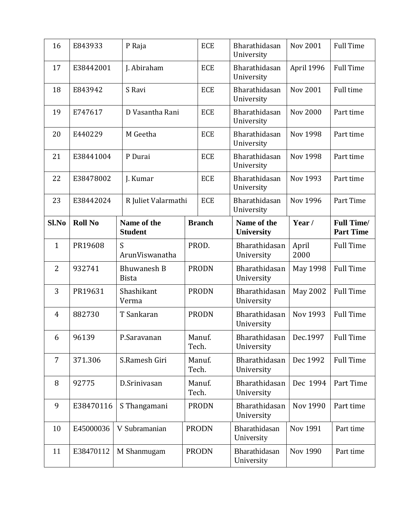| 16             | E843933        | P Raja                             | <b>ECE</b>      | Bharathidasan<br>University      | <b>Nov 2001</b> | <b>Full Time</b>                      |
|----------------|----------------|------------------------------------|-----------------|----------------------------------|-----------------|---------------------------------------|
| 17             | E38442001      | J. Abiraham                        | <b>ECE</b>      | Bharathidasan<br>University      | April 1996      | <b>Full Time</b>                      |
| 18             | E843942        | S Ravi                             | <b>ECE</b>      | Bharathidasan<br>University      | <b>Nov 2001</b> | Full time                             |
| 19             | E747617        | D Vasantha Rani                    | <b>ECE</b>      | Bharathidasan<br>University      | <b>Nov 2000</b> | Part time                             |
| 20             | E440229        | M Geetha                           | <b>ECE</b>      | Bharathidasan<br>University      | <b>Nov 1998</b> | Part time                             |
| 21             | E38441004      | P Durai                            | <b>ECE</b>      | Bharathidasan<br>University      | <b>Nov 1998</b> | Part time                             |
| 22             | E38478002      | J. Kumar                           | <b>ECE</b>      | Bharathidasan<br>University      | Nov 1993        | Part time                             |
| 23             | E38442024      | R Juliet Valarmathi                | <b>ECE</b>      | Bharathidasan<br>University      | Nov 1996        | Part Time                             |
| Sl.No          | <b>Roll No</b> | Name of the<br><b>Student</b>      | <b>Branch</b>   | Name of the<br><b>University</b> | Year /          | <b>Full Time/</b><br><b>Part Time</b> |
| $\mathbf{1}$   | PR19608        | S<br>ArunViswanatha                | PROD.           | Bharathidasan<br>University      | April<br>2000   | <b>Full Time</b>                      |
| $\overline{2}$ | 932741         | <b>Bhuwanesh B</b><br><b>Bista</b> | <b>PRODN</b>    | Bharathidasan<br>University      | May 1998        | <b>Full Time</b>                      |
| 3              | PR19631        | Shashikant<br>Verma                | <b>PRODN</b>    | Bharathidasan<br>University      | <b>May 2002</b> | <b>Full Time</b>                      |
| 4              | 882730         | T Sankaran                         | <b>PRODN</b>    | Bharathidasan<br>University      | Nov 1993        | <b>Full Time</b>                      |
| 6              | 96139          | P.Saravanan                        | Manuf.<br>Tech. | Bharathidasan<br>University      | Dec.1997        | <b>Full Time</b>                      |
| 7              | 371.306        | S.Ramesh Giri                      | Manuf.<br>Tech. | Bharathidasan<br>University      | Dec 1992        | <b>Full Time</b>                      |
| 8              | 92775          | D.Srinivasan                       | Manuf.<br>Tech. | Bharathidasan<br>University      | Dec 1994        | Part Time                             |
| 9              | E38470116      | S Thangamani                       | <b>PRODN</b>    | Bharathidasan<br>University      | Nov 1990        | Part time                             |
| 10             | E45000036      | V Subramanian                      | <b>PRODN</b>    | Bharathidasan<br>University      | <b>Nov 1991</b> | Part time                             |
| 11             | E38470112      | M Shanmugam                        | <b>PRODN</b>    | Bharathidasan<br>University      | Nov 1990        | Part time                             |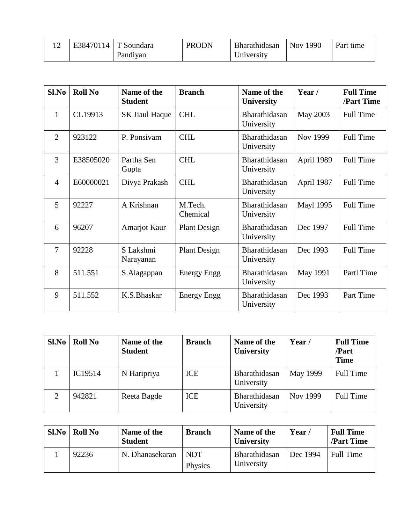|  | E38470114   T Soundara | <b>PRODN</b> | Bharathidasan | Nov 1990 | Part time |
|--|------------------------|--------------|---------------|----------|-----------|
|  | Pandiyan               |              | University    |          |           |

| S1.No          | <b>Roll No</b> | Name of the<br><b>Student</b> | <b>Branch</b>       | Name of the<br><b>University</b> | Year /           | <b>Full Time</b><br><b>/Part Time</b> |
|----------------|----------------|-------------------------------|---------------------|----------------------------------|------------------|---------------------------------------|
| 1              | CL19913        | <b>SK Jiaul Haque</b>         | <b>CHL</b>          | Bharathidasan<br>University      | May 2003         | <b>Full Time</b>                      |
| $\overline{2}$ | 923122         | P. Ponsivam                   | <b>CHL</b>          | Bharathidasan<br>University      | Nov 1999         | <b>Full Time</b>                      |
| 3              | E38505020      | Partha Sen<br>Gupta           | <b>CHL</b>          | Bharathidasan<br>University      | April 1989       | <b>Full Time</b>                      |
| $\overline{4}$ | E60000021      | Divya Prakash                 | <b>CHL</b>          | Bharathidasan<br>University      | April 1987       | <b>Full Time</b>                      |
| 5              | 92227          | A Krishnan                    | M.Tech.<br>Chemical | Bharathidasan<br>University      | <b>Mayl 1995</b> | <b>Full Time</b>                      |
| 6              | 96207          | Amarjot Kaur                  | <b>Plant Design</b> | Bharathidasan<br>University      | Dec 1997         | <b>Full Time</b>                      |
| $\overline{7}$ | 92228          | S Lakshmi<br>Narayanan        | <b>Plant Design</b> | Bharathidasan<br>University      | Dec 1993         | <b>Full Time</b>                      |
| 8              | 511.551        | S.Alagappan                   | <b>Energy Engg</b>  | Bharathidasan<br>University      | May 1991         | Partl Time                            |
| 9              | 511.552        | K.S.Bhaskar                   | Energy Engg         | Bharathidasan<br>University      | Dec 1993         | Part Time                             |

| Sl.No | <b>Roll No</b> | Name of the<br><b>Student</b> | <b>Branch</b> | Name of the<br><b>University</b> | Year /   | <b>Full Time</b><br>/Part<br><b>Time</b> |
|-------|----------------|-------------------------------|---------------|----------------------------------|----------|------------------------------------------|
|       | IC19514        | N Haripriya                   | ICE           | Bharathidasan<br>University      | May 1999 | <b>Full Time</b>                         |
|       | 942821         | Reeta Bagde                   | ICE           | Bharathidasan<br>University      | Nov 1999 | <b>Full Time</b>                         |

| Sl.No | <b>Roll No</b> | Name of the<br><b>Student</b> | <b>Branch</b>         | Name of the<br><b>University</b> | Year/    | <b>Full Time</b><br><b>/Part Time</b> |
|-------|----------------|-------------------------------|-----------------------|----------------------------------|----------|---------------------------------------|
|       | 92236          | N. Dhanasekaran               | <b>NDT</b><br>Physics | Bharathidasan<br>University      | Dec 1994 | <b>Full Time</b>                      |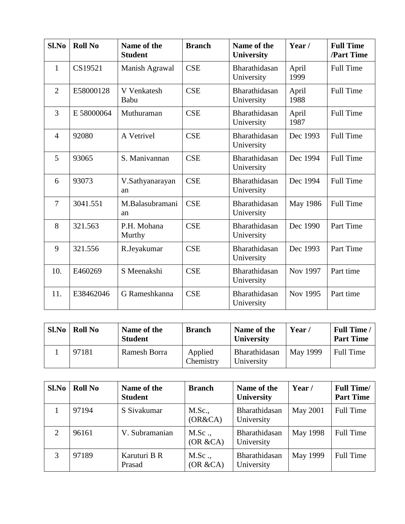| Sl.No          | <b>Roll No</b> | Name of the<br><b>Student</b> | <b>Branch</b> | Name of the<br>University   | Year /        | <b>Full Time</b><br>/Part Time |
|----------------|----------------|-------------------------------|---------------|-----------------------------|---------------|--------------------------------|
| 1              | CS19521        | Manish Agrawal                | <b>CSE</b>    | Bharathidasan<br>University | April<br>1999 | <b>Full Time</b>               |
| $\overline{2}$ | E58000128      | V Venkatesh<br>Babu           | <b>CSE</b>    | Bharathidasan<br>University | April<br>1988 | <b>Full Time</b>               |
| 3              | E 58000064     | Muthuraman                    | <b>CSE</b>    | Bharathidasan<br>University | April<br>1987 | <b>Full Time</b>               |
| $\overline{4}$ | 92080          | A Vetrivel                    | <b>CSE</b>    | Bharathidasan<br>University | Dec 1993      | <b>Full Time</b>               |
| 5              | 93065          | S. Manivannan                 | <b>CSE</b>    | Bharathidasan<br>University | Dec 1994      | <b>Full Time</b>               |
| 6              | 93073          | V.Sathyanarayan<br>an         | <b>CSE</b>    | Bharathidasan<br>University | Dec 1994      | <b>Full Time</b>               |
| $\overline{7}$ | 3041.551       | M.Balasubramani<br>an         | <b>CSE</b>    | Bharathidasan<br>University | May 1986      | <b>Full Time</b>               |
| 8              | 321.563        | P.H. Mohana<br>Murthy         | <b>CSE</b>    | Bharathidasan<br>University | Dec 1990      | Part Time                      |
| 9              | 321.556        | R.Jeyakumar                   | <b>CSE</b>    | Bharathidasan<br>University | Dec 1993      | Part Time                      |
| 10.            | E460269        | S Meenakshi                   | <b>CSE</b>    | Bharathidasan<br>University | Nov 1997      | Part time                      |
| 11.            | E38462046      | G Rameshkanna                 | <b>CSE</b>    | Bharathidasan<br>University | Nov 1995      | Part time                      |

| Sl.No | <b>Roll No</b> | Name of the<br><b>Student</b> | <b>Branch</b>        | Name of the<br><b>University</b> | Year $\prime$   | <b>Full Time /</b><br><b>Part Time</b> |
|-------|----------------|-------------------------------|----------------------|----------------------------------|-----------------|----------------------------------------|
|       | 97181          | Ramesh Borra                  | Applied<br>Chemistry | Bharathidasan<br>University      | <b>May 1999</b> | Full Time                              |

| Sl.No | <b>Roll No</b> | Name of the<br><b>Student</b> | <b>Branch</b>      | Name of the<br>University   | Year/    | <b>Full Time/</b><br><b>Part Time</b> |
|-------|----------------|-------------------------------|--------------------|-----------------------------|----------|---------------------------------------|
|       | 97194          | S Sivakumar                   | M.Sc.,<br>(OR&CA)  | Bharathidasan<br>University | May 2001 | <b>Full Time</b>                      |
| 2     | 96161          | V. Subramanian                | M.Sc.<br>(OR & CA) | Bharathidasan<br>University | May 1998 | Full Time                             |
| 3     | 97189          | Karuturi B R<br>Prasad        | M.Sc.<br>(OR & CA) | Bharathidasan<br>University | May 1999 | <b>Full Time</b>                      |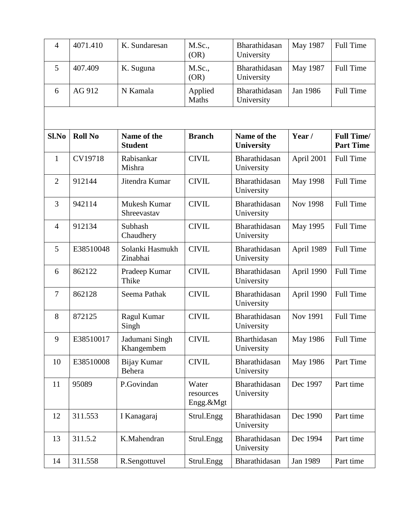| $\overline{4}$ | 4071.410       | K. Sundaresan                 | M.Sc.,<br>(OR)                  | Bharathidasan<br>University      | May 1987        | <b>Full Time</b>                      |
|----------------|----------------|-------------------------------|---------------------------------|----------------------------------|-----------------|---------------------------------------|
| 5              | 407.409        | K. Suguna                     | M.Sc.,<br>(OR)                  | Bharathidasan<br>University      | May 1987        | <b>Full Time</b>                      |
| 6              | AG 912         | N Kamala                      | Applied<br>Maths                | Bharathidasan<br>University      | Jan 1986        | <b>Full Time</b>                      |
|                |                |                               |                                 |                                  |                 |                                       |
| Sl.No          | <b>Roll No</b> | Name of the<br><b>Student</b> | <b>Branch</b>                   | Name of the<br><b>University</b> | Year/           | <b>Full Time/</b><br><b>Part Time</b> |
| $\mathbf{1}$   | CV19718        | Rabisankar<br>Mishra          | <b>CIVIL</b>                    | Bharathidasan<br>University      | April 2001      | Full Time                             |
| $\overline{2}$ | 912144         | Jitendra Kumar                | <b>CIVIL</b>                    | Bharathidasan<br>University      | May 1998        | <b>Full Time</b>                      |
| 3              | 942114         | Mukesh Kumar<br>Shreevastav   | <b>CIVIL</b>                    | Bharathidasan<br>University      | <b>Nov 1998</b> | <b>Full Time</b>                      |
| $\overline{4}$ | 912134         | Subhash<br>Chaudhery          | <b>CIVIL</b>                    | Bharathidasan<br>University      | May 1995        | <b>Full Time</b>                      |
| 5              | E38510048      | Solanki Hasmukh<br>Zinabhai   | <b>CIVIL</b>                    | Bharathidasan<br>University      | April 1989      | <b>Full Time</b>                      |
| 6              | 862122         | Pradeep Kumar<br>Thike        | <b>CIVIL</b>                    | Bharathidasan<br>University      | April 1990      | Full Time                             |
| $\overline{7}$ | 862128         | Seema Pathak                  | <b>CIVIL</b>                    | Bharathidasan<br>University      | April 1990      | Full Time                             |
| 8              | 872125         | Ragul Kumar<br>Singh          | <b>CIVIL</b>                    | Bharathidasan<br>University      | Nov 1991        | Full Time                             |
| 9              | E38510017      | Jadumani Singh<br>Khangembem  | <b>CIVIL</b>                    | Bharthidasan<br>University       | May 1986        | Full Time                             |
| 10             | E38510008      | Bijay Kumar<br>Behera         | <b>CIVIL</b>                    | Bharathidasan<br>University      | May 1986        | Part Time                             |
| 11             | 95089          | P.Govindan                    | Water<br>resources<br>Engg.&Mgt | Bharathidasan<br>University      | Dec 1997        | Part time                             |
| 12             | 311.553        | I Kanagaraj                   | Strul.Engg                      | Bharathidasan<br>University      | Dec 1990        | Part time                             |
| 13             | 311.5.2        | K.Mahendran                   | Strul.Engg                      | Bharathidasan<br>University      | Dec 1994        | Part time                             |
| 14             | 311.558        | R.Sengottuvel                 | Strul.Engg                      | Bharathidasan                    | Jan 1989        | Part time                             |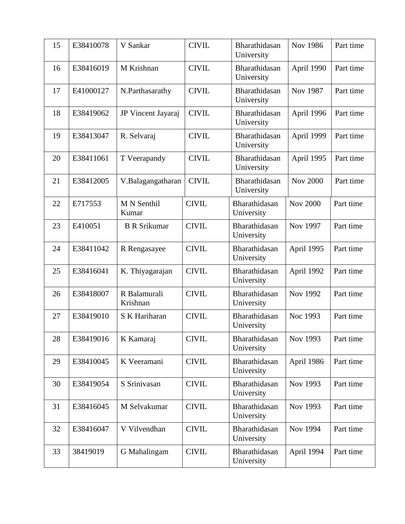| 15 | E38410078 | V Sankar                 | <b>CIVIL</b> | Bharathidasan<br>University | <b>Nov 1986</b> | Part time |
|----|-----------|--------------------------|--------------|-----------------------------|-----------------|-----------|
| 16 | E38416019 | M Krishnan               | <b>CIVIL</b> | Bharathidasan<br>University | April 1990      | Part time |
| 17 | E41000127 | N.Parthasarathy          | <b>CIVIL</b> | Bharathidasan<br>University | Nov 1987        | Part time |
| 18 | E38419062 | JP Vincent Jayaraj       | <b>CIVIL</b> | Bharathidasan<br>University | April 1996      | Part time |
| 19 | E38413047 | R. Selvaraj              | <b>CIVIL</b> | Bharathidasan<br>University | April 1999      | Part time |
| 20 | E38411061 | T Veerapandy             | <b>CIVIL</b> | Bharathidasan<br>University | April 1995      | Part time |
| 21 | E38412005 | V.Balagangatharan        | <b>CIVIL</b> | Bharathidasan<br>University | <b>Nov 2000</b> | Part time |
| 22 | E717553   | M N Senthil<br>Kumar     | <b>CIVIL</b> | Bharathidasan<br>University | <b>Nov 2000</b> | Part time |
| 23 | E410051   | <b>B</b> R Srikumar      | <b>CIVIL</b> | Bharathidasan<br>University | Nov 1997        | Part time |
| 24 | E38411042 | R Rengasayee             | <b>CIVIL</b> | Bharathidasan<br>University | April 1995      | Part time |
| 25 | E38416041 | K. Thiyagarajan          | <b>CIVIL</b> | Bharathidasan<br>University | April 1992      | Part time |
| 26 | E38418007 | R Balamurali<br>Krishnan | <b>CIVIL</b> | Bharathidasan<br>University | Nov 1992        | Part time |
| 27 | E38419010 | S K Hariharan            | <b>CIVIL</b> | Bharathidasan<br>University | Noc 1993        | Part time |
| 28 | E38419016 | K Kamaraj                | <b>CIVIL</b> | Bharathidasan<br>University | Nov 1993        | Part time |
| 29 | E38410045 | K Veeramani              | <b>CIVIL</b> | Bharathidasan<br>University | April 1986      | Part time |
| 30 | E38419054 | S Srinivasan             | <b>CIVIL</b> | Bharathidasan<br>University | Nov 1993        | Part time |
| 31 | E38416045 | M Selvakumar             | <b>CIVIL</b> | Bharathidasan<br>University | Nov 1993        | Part time |
| 32 | E38416047 | V Vilvendhan             | <b>CIVIL</b> | Bharathidasan<br>University | Nov 1994        | Part time |
| 33 | 38419019  | G Mahalingam             | <b>CIVIL</b> | Bharathidasan<br>University | April 1994      | Part time |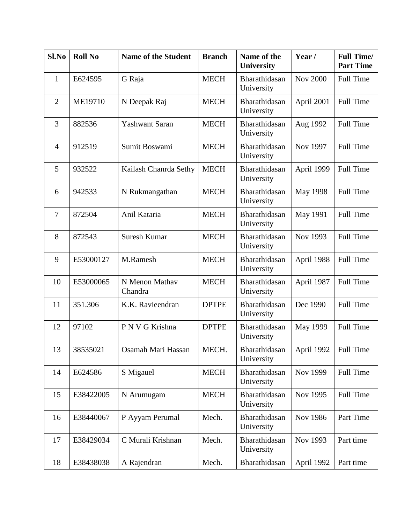| Sl.No          | <b>Roll No</b> | <b>Name of the Student</b> | <b>Branch</b> | Name of the<br><b>University</b> | Year/           | <b>Full Time/</b><br><b>Part Time</b> |
|----------------|----------------|----------------------------|---------------|----------------------------------|-----------------|---------------------------------------|
| 1              | E624595        | G Raja                     | <b>MECH</b>   | Bharathidasan<br>University      | <b>Nov 2000</b> | Full Time                             |
| $\overline{2}$ | ME19710        | N Deepak Raj               | <b>MECH</b>   | Bharathidasan<br>University      | April 2001      | <b>Full Time</b>                      |
| 3              | 882536         | <b>Yashwant Saran</b>      | <b>MECH</b>   | Bharathidasan<br>University      | Aug 1992        | <b>Full Time</b>                      |
| $\overline{4}$ | 912519         | Sumit Boswami              | <b>MECH</b>   | Bharathidasan<br>University      | Nov 1997        | <b>Full Time</b>                      |
| 5              | 932522         | Kailash Chanrda Sethy      | <b>MECH</b>   | Bharathidasan<br>University      | April 1999      | <b>Full Time</b>                      |
| 6              | 942533         | N Rukmangathan             | <b>MECH</b>   | Bharathidasan<br>University      | May 1998        | <b>Full Time</b>                      |
| $\overline{7}$ | 872504         | Anil Kataria               | <b>MECH</b>   | Bharathidasan<br>University      | May 1991        | <b>Full Time</b>                      |
| 8              | 872543         | Suresh Kumar               | <b>MECH</b>   | Bharathidasan<br>University      | Nov 1993        | <b>Full Time</b>                      |
| 9              | E53000127      | M.Ramesh                   | <b>MECH</b>   | Bharathidasan<br>University      | April 1988      | <b>Full Time</b>                      |
| 10             | E53000065      | N Menon Mathav<br>Chandra  | <b>MECH</b>   | Bharathidasan<br>University      | April 1987      | <b>Full Time</b>                      |
| 11             | 351.306        | K.K. Ravieendran           | <b>DPTPE</b>  | Bharathidasan<br>University      | Dec 1990        | <b>Full Time</b>                      |
| 12             | 97102          | P N V G Krishna            | <b>DPTPE</b>  | Bharathidasan<br>University      | May 1999        | <b>Full Time</b>                      |
| 13             | 38535021       | Osamah Mari Hassan         | MECH.         | Bharathidasan<br>University      | April 1992      | Full Time                             |
| 14             | E624586        | S Migauel                  | <b>MECH</b>   | Bharathidasan<br>University      | Nov 1999        | Full Time                             |
| 15             | E38422005      | N Arumugam                 | <b>MECH</b>   | Bharathidasan<br>University      | Nov 1995        | Full Time                             |
| 16             | E38440067      | P Ayyam Perumal            | Mech.         | Bharathidasan<br>University      | Nov 1986        | Part Time                             |
| 17             | E38429034      | C Murali Krishnan          | Mech.         | Bharathidasan<br>University      | Nov 1993        | Part time                             |
| 18             | E38438038      | A Rajendran                | Mech.         | Bharathidasan                    | April 1992      | Part time                             |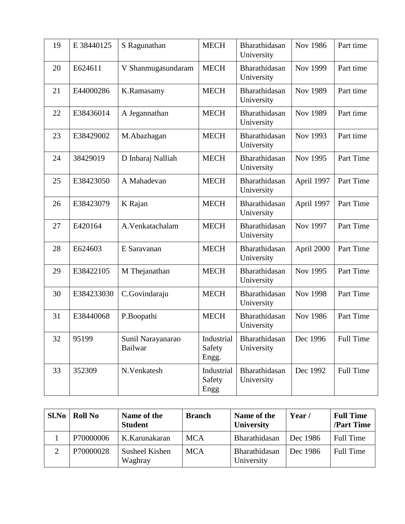| 19 | E 38440125 | S Ragunathan                        | <b>MECH</b>                   | Bharathidasan<br>University | <b>Nov 1986</b> | Part time        |
|----|------------|-------------------------------------|-------------------------------|-----------------------------|-----------------|------------------|
| 20 | E624611    | V Shanmugasundaram                  | <b>MECH</b>                   | Bharathidasan<br>University | Nov 1999        | Part time        |
| 21 | E44000286  | K.Ramasamy                          | <b>MECH</b>                   | Bharathidasan<br>University | Nov 1989        | Part time        |
| 22 | E38436014  | A Jegannathan                       | <b>MECH</b>                   | Bharathidasan<br>University | <b>Nov 1989</b> | Part time        |
| 23 | E38429002  | M.Abazhagan                         | <b>MECH</b>                   | Bharathidasan<br>University | Nov 1993        | Part time        |
| 24 | 38429019   | D Inbaraj Nalliah                   | <b>MECH</b>                   | Bharathidasan<br>University | Nov 1995        | Part Time        |
| 25 | E38423050  | A Mahadevan                         | <b>MECH</b>                   | Bharathidasan<br>University | April 1997      | Part Time        |
| 26 | E38423079  | K Rajan                             | <b>MECH</b>                   | Bharathidasan<br>University | April 1997      | Part Time        |
| 27 | E420164    | A.Venkatachalam                     | <b>MECH</b>                   | Bharathidasan<br>University | Nov 1997        | Part Time        |
| 28 | E624603    | E Saravanan                         | <b>MECH</b>                   | Bharathidasan<br>University | April 2000      | Part Time        |
| 29 | E38422105  | M Thejanathan                       | <b>MECH</b>                   | Bharathidasan<br>University | Nov 1995        | Part Time        |
| 30 | E384233030 | C.Govindaraju                       | <b>MECH</b>                   | Bharathidasan<br>University | <b>Nov 1998</b> | Part Time        |
| 31 | E38440068  | P.Boopathi                          | <b>MECH</b>                   | Bharathidasan<br>University | <b>Nov 1986</b> | Part Time        |
| 32 | 95199      | Sunil Narayanarao<br><b>Bailwar</b> | Industrial<br>Safety<br>Engg. | Bharathidasan<br>University | Dec 1996        | <b>Full Time</b> |
| 33 | 352309     | N.Venkatesh                         | Industrial<br>Safety<br>Engg  | Bharathidasan<br>University | Dec 1992        | <b>Full Time</b> |

| Sl.No | <b>Roll No</b> | Name of the<br><b>Student</b> | <b>Branch</b> | Name of the<br><b>University</b> | Year/    | <b>Full Time</b><br><b>/Part Time</b> |
|-------|----------------|-------------------------------|---------------|----------------------------------|----------|---------------------------------------|
|       | P70000006      | K.Karunakaran                 | <b>MCA</b>    | Bharathidasan                    | Dec 1986 | <b>Full Time</b>                      |
|       | P70000028      | Susheel Kishen<br>Waghray     | <b>MCA</b>    | Bharathidasan<br>University      | Dec 1986 | <b>Full Time</b>                      |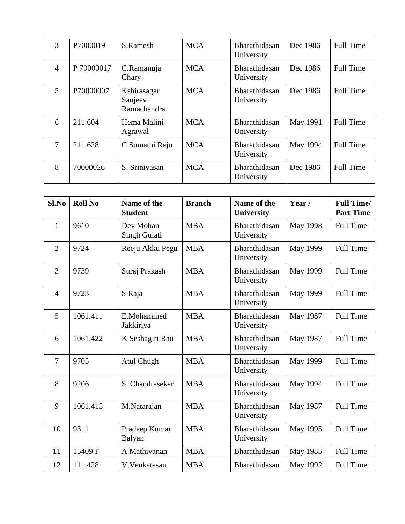| 3              | P7000019   | S.Ramesh                              | <b>MCA</b> | Bharathidasan<br>University | Dec 1986 | <b>Full Time</b> |
|----------------|------------|---------------------------------------|------------|-----------------------------|----------|------------------|
| $\overline{4}$ | P 70000017 | C.Ramanuja<br>Chary                   | <b>MCA</b> | Bharathidasan<br>University | Dec 1986 | <b>Full Time</b> |
| $\mathfrak{S}$ | P70000007  | Kshirasagar<br>Sanjeev<br>Ramachandra | <b>MCA</b> | Bharathidasan<br>University | Dec 1986 | <b>Full Time</b> |
| 6              | 211.604    | Hema Malini<br>Agrawal                | <b>MCA</b> | Bharathidasan<br>University | May 1991 | <b>Full Time</b> |
| 7              | 211.628    | C Sumathi Raju                        | <b>MCA</b> | Bharathidasan<br>University | May 1994 | <b>Full Time</b> |
| 8              | 70000026   | S. Srinivasan                         | <b>MCA</b> | Bharathidasan<br>University | Dec 1986 | <b>Full Time</b> |

| Sl.No          | <b>Roll No</b> | Name of the<br><b>Student</b> | <b>Branch</b> | Name of the<br><b>University</b> | Year /          | <b>Full Time/</b><br><b>Part Time</b> |
|----------------|----------------|-------------------------------|---------------|----------------------------------|-----------------|---------------------------------------|
| $\mathbf{1}$   | 9610           | Dev Mohan<br>Singh Gulati     | <b>MBA</b>    | Bharathidasan<br>University      | May 1998        | <b>Full Time</b>                      |
| $\overline{2}$ | 9724           | Reeju Akku Pegu               | <b>MBA</b>    | Bharathidasan<br>University      | <b>May 1999</b> | <b>Full Time</b>                      |
| 3              | 9739           | Suraj Prakash                 | <b>MBA</b>    | Bharathidasan<br>University      | May 1999        | <b>Full Time</b>                      |
| $\overline{4}$ | 9723           | S Raja                        | <b>MBA</b>    | Bharathidasan<br>University      | May 1999        | <b>Full Time</b>                      |
| 5              | 1061.411       | E.Mohammed<br>Jakkiriya       | <b>MBA</b>    | Bharathidasan<br>University      | May 1987        | <b>Full Time</b>                      |
| 6              | 1061.422       | K Seshagiri Rao               | <b>MBA</b>    | Bharathidasan<br>University      | May 1987        | <b>Full Time</b>                      |
| $\overline{7}$ | 9705           | Atul Chugh                    | <b>MBA</b>    | Bharathidasan<br>University      | May 1999        | <b>Full Time</b>                      |
| 8              | 9206           | S. Chandrasekar               | <b>MBA</b>    | Bharathidasan<br>University      | May 1994        | <b>Full Time</b>                      |
| 9              | 1061.415       | M.Natarajan                   | <b>MBA</b>    | Bharathidasan<br>University      | May 1987        | <b>Full Time</b>                      |
| 10             | 9311           | Pradeep Kumar<br>Balyan       | <b>MBA</b>    | Bharathidasan<br>University      | May 1995        | <b>Full Time</b>                      |
| 11             | 15409 F        | A Mathivanan                  | <b>MBA</b>    | Bharathidasan                    | May 1985        | <b>Full Time</b>                      |
| 12             | 111.428        | V.Venkatesan                  | <b>MBA</b>    | Bharathidasan                    | May 1992        | <b>Full Time</b>                      |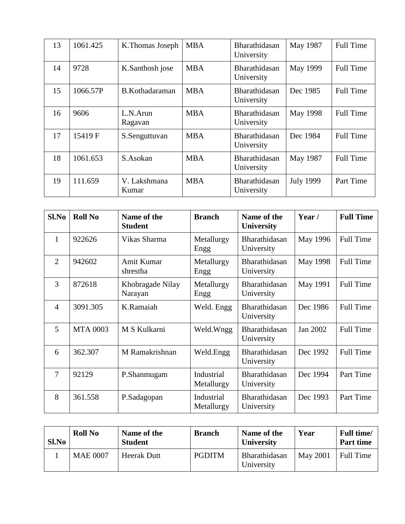| 13 | 1061.425 | K.Thomas Joseph       | <b>MBA</b> | Bharathidasan<br>University        | May 1987         | <b>Full Time</b> |
|----|----------|-----------------------|------------|------------------------------------|------------------|------------------|
| 14 | 9728     | K.Santhosh jose       | <b>MBA</b> | Bharathidasan<br>University        | May 1999         | <b>Full Time</b> |
| 15 | 1066.57P | B.Kothadaraman        | <b>MBA</b> | <b>Bharathidasan</b><br>University | Dec 1985         | <b>Full Time</b> |
| 16 | 9606     | L.N.Arun<br>Ragavan   | <b>MBA</b> | Bharathidasan<br>University        | May 1998         | <b>Full Time</b> |
| 17 | 15419 F  | S.Senguttuvan         | <b>MBA</b> | Bharathidasan<br>University        | Dec 1984         | <b>Full Time</b> |
| 18 | 1061.653 | S.Asokan              | <b>MBA</b> | <b>Bharathidasan</b><br>University | May 1987         | <b>Full Time</b> |
| 19 | 111.659  | V. Lakshmana<br>Kumar | <b>MBA</b> | Bharathidasan<br>University        | <b>July 1999</b> | Part Time        |

| $Sl$ .No       | <b>Roll No</b>  | Name of the<br><b>Student</b> | <b>Branch</b>            | Name of the<br><b>University</b> | Year/    | <b>Full Time</b> |
|----------------|-----------------|-------------------------------|--------------------------|----------------------------------|----------|------------------|
| 1              | 922626          | Vikas Sharma                  | Metallurgy<br>Engg       | Bharathidasan<br>University      | May 1996 | Full Time        |
| $\overline{2}$ | 942602          | Amit Kumar<br>shrestha        | Metallurgy<br>Engg       | Bharathidasan<br>University      | May 1998 | <b>Full Time</b> |
| 3              | 872618          | Khobragade Nilay<br>Narayan   | Metallurgy<br>Engg       | Bharathidasan<br>University      | May 1991 | <b>Full Time</b> |
| $\overline{4}$ | 3091.305        | K.Ramaiah                     | Weld. Engg               | Bharathidasan<br>University      | Dec 1986 | <b>Full Time</b> |
| 5              | <b>MTA 0003</b> | M S Kulkarni                  | Weld.Wngg                | Bharathidasan<br>University      | Jan 2002 | <b>Full Time</b> |
| 6              | 362.307         | M Ramakrishnan                | Weld.Engg                | Bharathidasan<br>University      | Dec 1992 | <b>Full Time</b> |
| $\overline{7}$ | 92129           | P.Shanmugam                   | Industrial<br>Metallurgy | Bharathidasan<br>University      | Dec 1994 | Part Time        |
| 8              | 361.558         | P.Sadagopan                   | Industrial<br>Metallurgy | Bharathidasan<br>University      | Dec 1993 | Part Time        |

| Sl.No | <b>Roll No</b>  | Name of the<br><b>Student</b> | <b>Branch</b> | Name of the<br><b>University</b> | Year            | <b>Full time</b> /<br><b>Part time</b> |
|-------|-----------------|-------------------------------|---------------|----------------------------------|-----------------|----------------------------------------|
|       | <b>MAE 0007</b> | <b>Heerak Dutt</b>            | <b>PGDITM</b> | Bharathidasan<br>University      | <b>May 2001</b> | <b>Full Time</b>                       |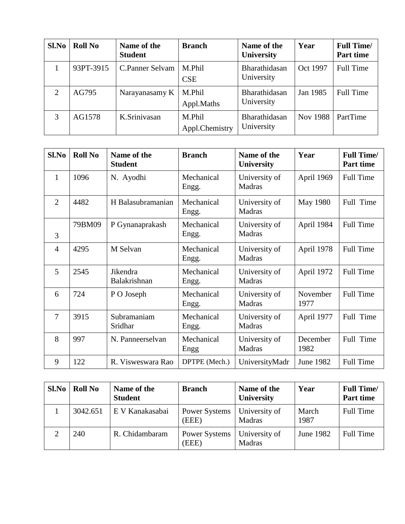| Sl.No | <b>Roll No</b> | Name of the<br><b>Student</b> | <b>Branch</b>            | Name of the<br><b>University</b> | Year     | <b>Full Time/</b><br>Part time |
|-------|----------------|-------------------------------|--------------------------|----------------------------------|----------|--------------------------------|
|       | 93PT-3915      | C.Panner Selvam               | M.Phil<br>CSE            | Bharathidasan<br>University      | Oct 1997 | <b>Full Time</b>               |
| 2     | AG795          | Narayanasamy K                | M.Phil<br>Appl.Maths     | Bharathidasan<br>University      | Jan 1985 | <b>Full Time</b>               |
| 3     | AG1578         | K.Srinivasan                  | M.Phil<br>Appl.Chemistry | Bharathidasan<br>University      | Nov 1988 | PartTime                       |

| Sl.No          | <b>Roll No</b> | Name of the<br><b>Student</b> | <b>Branch</b>       | Name of the<br><b>University</b> | Year             | <b>Full Time/</b><br>Part time |
|----------------|----------------|-------------------------------|---------------------|----------------------------------|------------------|--------------------------------|
| 1              | 1096           | N. Ayodhi                     | Mechanical<br>Engg. | University of<br>Madras          | April 1969       | <b>Full Time</b>               |
| 2              | 4482           | H Balasubramanian             | Mechanical<br>Engg. | University of<br>Madras          | <b>May 1980</b>  | Full Time                      |
| $\overline{3}$ | 79BM09         | P Gynanaprakash               | Mechanical<br>Engg. | University of<br><b>Madras</b>   | April 1984       | <b>Full Time</b>               |
| $\overline{4}$ | 4295           | M Selvan                      | Mechanical<br>Engg. | University of<br><b>Madras</b>   | April 1978       | <b>Full Time</b>               |
| 5              | 2545           | Jikendra<br>Balakrishnan      | Mechanical<br>Engg. | University of<br>Madras          | April 1972       | <b>Full Time</b>               |
| 6              | 724            | P O Joseph                    | Mechanical<br>Engg. | University of<br>Madras          | November<br>1977 | <b>Full Time</b>               |
| $\overline{7}$ | 3915           | Subramaniam<br>Sridhar        | Mechanical<br>Engg. | University of<br>Madras          | April 1977       | Full Time                      |
| 8              | 997            | N. Panneerselvan              | Mechanical<br>Engg  | University of<br>Madras          | December<br>1982 | Full Time                      |
| 9              | 122            | R. Visweswara Rao             | DPTPE (Mech.)       | UniversityMadr                   | June 1982        | <b>Full Time</b>               |

| Sl.No | <b>Roll No</b> | Name of the<br><b>Student</b> | <b>Branch</b>          | Name of the<br><b>University</b> | Year          | <b>Full Time/</b><br>Part time |
|-------|----------------|-------------------------------|------------------------|----------------------------------|---------------|--------------------------------|
|       | 3042.651       | E V Kanakasabai               | Power Systems<br>(EEE) | University of<br>Madras          | March<br>1987 | Full Time                      |
|       | 240            | R. Chidambaram                | Power Systems<br>(EEE) | University of<br>Madras          | June 1982     | Full Time                      |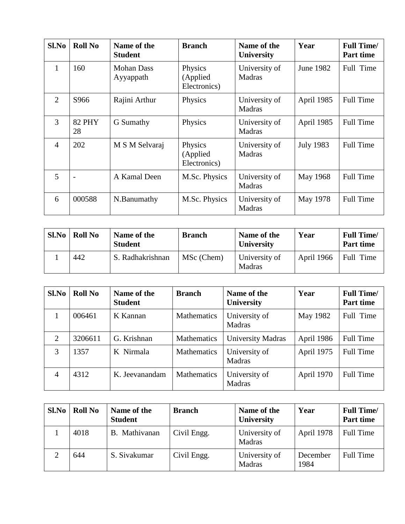| Sl.No          | <b>Roll No</b>      | Name of the<br><b>Student</b>  | <b>Branch</b>                       | Name of the<br><b>University</b> | Year             | <b>Full Time/</b><br><b>Part time</b> |
|----------------|---------------------|--------------------------------|-------------------------------------|----------------------------------|------------------|---------------------------------------|
| 1              | 160                 | <b>Mohan Dass</b><br>Ayyappath | Physics<br>(Applied<br>Electronics) | University of<br>Madras          | June 1982        | Full Time                             |
| 2              | S966                | Rajini Arthur                  | Physics                             | University of<br><b>Madras</b>   | April 1985       | <b>Full Time</b>                      |
| 3              | <b>82 PHY</b><br>28 | G Sumathy                      | Physics                             | University of<br>Madras          | April 1985       | <b>Full Time</b>                      |
| $\overline{4}$ | 202                 | M S M Selvaraj                 | Physics<br>(Applied<br>Electronics) | University of<br>Madras          | <b>July 1983</b> | <b>Full Time</b>                      |
| 5              |                     | A Kamal Deen                   | M.Sc. Physics                       | University of<br><b>Madras</b>   | May 1968         | <b>Full Time</b>                      |
| 6              | 000588              | N.Banumathy                    | M.Sc. Physics                       | University of<br>Madras          | May 1978         | <b>Full Time</b>                      |

| Sl.No | <b>Roll No</b> | Name of the<br><b>Student</b> | <b>Branch</b> | Name of the<br><b>University</b> | Year       | <b>Full Time/</b><br><b>Part time</b> |
|-------|----------------|-------------------------------|---------------|----------------------------------|------------|---------------------------------------|
|       | 442            | S. Radhakrishnan              | MSc (Chem)    | University of<br><b>Madras</b>   | April 1966 | Full Time                             |

| Sl.No          | <b>Roll No</b> | Name of the<br><b>Student</b> | <b>Branch</b> | Name of the<br><b>University</b> | Year       | <b>Full Time/</b><br>Part time |
|----------------|----------------|-------------------------------|---------------|----------------------------------|------------|--------------------------------|
|                | 006461         | K Kannan                      | Mathematics   | University of<br>Madras          | May 1982   | Full Time                      |
| 2              | 3206611        | G. Krishnan                   | Mathematics   | <b>University Madras</b>         | April 1986 | Full Time                      |
| 3              | 1357           | K Nirmala                     | Mathematics   | University of<br>Madras          | April 1975 | <b>Full Time</b>               |
| $\overline{4}$ | 4312           | K. Jeevanandam                | Mathematics   | University of<br>Madras          | April 1970 | <b>Full Time</b>               |

| Sl.No | <b>Roll No</b> | Name of the<br><b>Student</b> | <b>Branch</b> | Name of the<br><b>University</b> | Year             | <b>Full Time/</b><br>Part time |
|-------|----------------|-------------------------------|---------------|----------------------------------|------------------|--------------------------------|
|       | 4018           | B. Mathivanan                 | Civil Engg.   | University of<br>Madras          | April 1978       | <b>Full Time</b>               |
|       | 644            | S. Sivakumar                  | Civil Engg.   | University of<br>Madras          | December<br>1984 | <b>Full Time</b>               |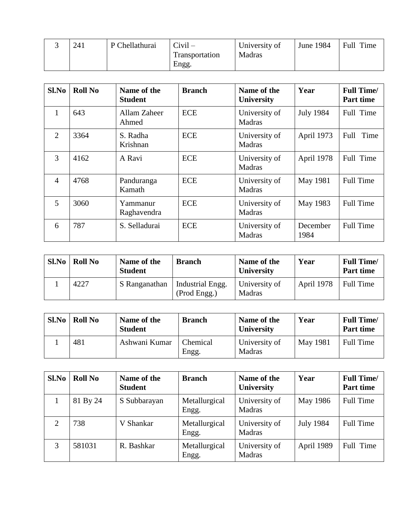| 241 | P Chellathurai | $Civil -$      | University of | June 1984 | Full Time |
|-----|----------------|----------------|---------------|-----------|-----------|
|     |                | Transportation | Madras        |           |           |
|     |                | Engg.          |               |           |           |

| Sl.No          | <b>Roll No</b> | Name of the<br><b>Student</b> | <b>Branch</b> | Name of the<br><b>University</b> | Year             | <b>Full Time/</b><br><b>Part time</b> |
|----------------|----------------|-------------------------------|---------------|----------------------------------|------------------|---------------------------------------|
| 1              | 643            | Allam Zaheer<br>Ahmed         | <b>ECE</b>    | University of<br>Madras          | <b>July 1984</b> | Full Time                             |
| 2              | 3364           | S. Radha<br>Krishnan          | <b>ECE</b>    | University of<br>Madras          | April 1973       | Time<br>Full                          |
| 3              | 4162           | A Ravi                        | <b>ECE</b>    | University of<br>Madras          | April 1978       | Full Time                             |
| $\overline{4}$ | 4768           | Panduranga<br>Kamath          | <b>ECE</b>    | University of<br>Madras          | May 1981         | <b>Full Time</b>                      |
| $\overline{5}$ | 3060           | Yammanur<br>Raghavendra       | <b>ECE</b>    | University of<br>Madras          | May 1983         | <b>Full Time</b>                      |
| 6              | 787            | S. Selladurai                 | <b>ECE</b>    | University of<br>Madras          | December<br>1984 | <b>Full Time</b>                      |

| Sl.No | <b>Roll No</b> | Name of the<br><b>Student</b> | <b>Branch</b>                    | Name of the<br><b>University</b> | Year       | <b>Full Time/</b><br><b>Part time</b> |
|-------|----------------|-------------------------------|----------------------------------|----------------------------------|------------|---------------------------------------|
|       | 4227           | S Ranganathan                 | Industrial Engg.<br>(Prod Engg.) | University of<br>Madras          | April 1978 | Full Time                             |

| Sl.No | <b>Roll No</b> | Name of the<br><b>Student</b> | <b>Branch</b>     | Name of the<br><b>University</b> | Year            | <b>Full Time/</b><br>Part time |
|-------|----------------|-------------------------------|-------------------|----------------------------------|-----------------|--------------------------------|
|       | 481            | Ashwani Kumar                 | Chemical<br>Engg. | University of<br>Madras          | <b>May 1981</b> | <b>Full Time</b>               |

| Sl.No | <b>Roll No</b> | Name of the<br><b>Student</b> | <b>Branch</b>          | Name of the<br><b>University</b> | Year             | <b>Full Time/</b><br>Part time |
|-------|----------------|-------------------------------|------------------------|----------------------------------|------------------|--------------------------------|
|       | 81 By 24       | S Subbarayan                  | Metallurgical<br>Engg. | University of<br>Madras          | May 1986         | <b>Full Time</b>               |
|       | 738            | V Shankar                     | Metallurgical<br>Engg. | University of<br>Madras          | <b>July 1984</b> | <b>Full Time</b>               |
|       | 581031         | R. Bashkar                    | Metallurgical<br>Engg. | University of<br>Madras          | April 1989       | Full Time                      |